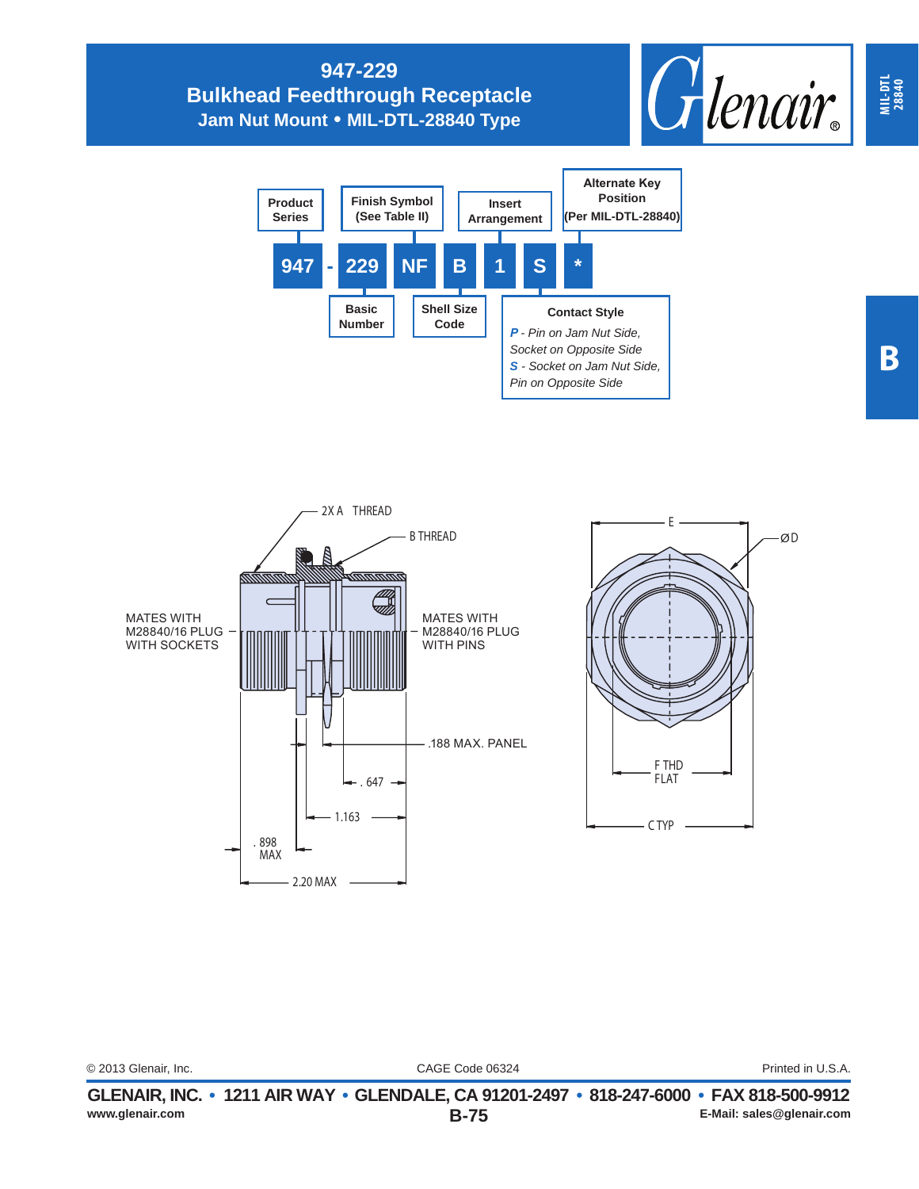## **947-229 Bulkhead Feedthrough Receptacle Jam Nut Mount • MIL-DTL-28840 Type**







| Printed in U.S.A.<br>© 2013 Glenair, Inc.<br>CAGE Code 06324 | www.glenair.com | GLENAIR, INC. • 1211 AIR WAY • GLENDALE, CA 91201-2497 • 818-247-6000 • FAX 818-500-9912<br>$B-75$ | E-Mail: sales@glenair.com |
|--------------------------------------------------------------|-----------------|----------------------------------------------------------------------------------------------------|---------------------------|
|                                                              |                 |                                                                                                    |                           |
|                                                              |                 |                                                                                                    |                           |

**MIL-DTL 28840**